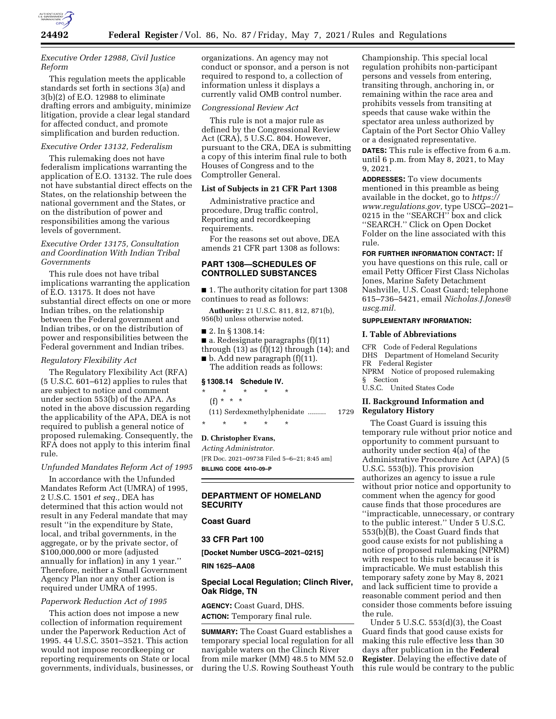

## *Executive Order 12988, Civil Justice Reform*

This regulation meets the applicable standards set forth in sections 3(a) and 3(b)(2) of E.O. 12988 to eliminate drafting errors and ambiguity, minimize litigation, provide a clear legal standard for affected conduct, and promote simplification and burden reduction.

#### *Executive Order 13132, Federalism*

This rulemaking does not have federalism implications warranting the application of E.O. 13132. The rule does not have substantial direct effects on the States, on the relationship between the national government and the States, or on the distribution of power and responsibilities among the various levels of government.

## *Executive Order 13175, Consultation and Coordination With Indian Tribal Governments*

This rule does not have tribal implications warranting the application of E.O. 13175. It does not have substantial direct effects on one or more Indian tribes, on the relationship between the Federal government and Indian tribes, or on the distribution of power and responsibilities between the Federal government and Indian tribes.

### *Regulatory Flexibility Act*

The Regulatory Flexibility Act (RFA) (5 U.S.C. 601–612) applies to rules that are subject to notice and comment under section 553(b) of the APA. As noted in the above discussion regarding the applicability of the APA, DEA is not required to publish a general notice of proposed rulemaking. Consequently, the RFA does not apply to this interim final rule.

### *Unfunded Mandates Reform Act of 1995*

In accordance with the Unfunded Mandates Reform Act (UMRA) of 1995, 2 U.S.C. 1501 *et seq.,* DEA has determined that this action would not result in any Federal mandate that may result ''in the expenditure by State, local, and tribal governments, in the aggregate, or by the private sector, of \$100,000,000 or more (adjusted annually for inflation) in any 1 year.'' Therefore, neither a Small Government Agency Plan nor any other action is required under UMRA of 1995.

### *Paperwork Reduction Act of 1995*

This action does not impose a new collection of information requirement under the Paperwork Reduction Act of 1995. 44 U.S.C. 3501–3521. This action would not impose recordkeeping or reporting requirements on State or local governments, individuals, businesses, or

organizations. An agency may not conduct or sponsor, and a person is not required to respond to, a collection of information unless it displays a currently valid OMB control number.

#### *Congressional Review Act*

This rule is not a major rule as defined by the Congressional Review Act (CRA), 5 U.S.C. 804. However, pursuant to the CRA, DEA is submitting a copy of this interim final rule to both Houses of Congress and to the Comptroller General.

#### **List of Subjects in 21 CFR Part 1308**

Administrative practice and procedure, Drug traffic control, Reporting and recordkeeping requirements.

For the reasons set out above, DEA amends 21 CFR part 1308 as follows:

# **PART 1308—SCHEDULES OF CONTROLLED SUBSTANCES**

■ 1. The authority citation for part 1308 continues to read as follows:

**Authority:** 21 U.S.C. 811, 812, 871(b), 956(b) unless otherwise noted.

- 2. In § 1308.14:
- a. Redesignate paragraphs (f)(11) through  $(13)$  as  $(f)(12)$  through  $(14)$ ; and
- $\blacksquare$  b. Add new paragraph (f)(11). The addition reads as follows:

#### **§ 1308.14 Schedule IV.**

- \* \* \* \* \*
- (f) \* \* \*
- (11) Serdexmethylphenidate ......... 1729
- \* \* \* \* \*

#### **D. Christopher Evans,**

*Acting Administrator.*  [FR Doc. 2021–09738 Filed 5–6–21; 8:45 am] **BILLING CODE 4410–09–P** 

## **DEPARTMENT OF HOMELAND SECURITY**

## **Coast Guard**

## **33 CFR Part 100**

**[Docket Number USCG–2021–0215]** 

**RIN 1625–AA08** 

## **Special Local Regulation; Clinch River, Oak Ridge, TN**

**AGENCY:** Coast Guard, DHS. **ACTION:** Temporary final rule.

**SUMMARY:** The Coast Guard establishes a temporary special local regulation for all navigable waters on the Clinch River from mile marker (MM) 48.5 to MM 52.0 during the U.S. Rowing Southeast Youth

Championship. This special local regulation prohibits non-participant persons and vessels from entering, transiting through, anchoring in, or remaining within the race area and prohibits vessels from transiting at speeds that cause wake within the spectator area unless authorized by Captain of the Port Sector Ohio Valley or a designated representative.

**DATES:** This rule is effective from 6 a.m. until 6 p.m. from May 8, 2021, to May 9, 2021.

**ADDRESSES:** To view documents mentioned in this preamble as being available in the docket, go to *[https://](https://www.regulations.gov) [www.regulations.gov,](https://www.regulations.gov)* type USCG–2021– 0215 in the ''SEARCH'' box and click ''SEARCH.'' Click on Open Docket Folder on the line associated with this rule.

**FOR FURTHER INFORMATION CONTACT:** If you have questions on this rule, call or email Petty Officer First Class Nicholas Jones, Marine Safety Detachment Nashville, U.S. Coast Guard; telephone 615–736–5421, email *[Nicholas.J.Jones@](mailto:Nicholas.J.Jones@uscg.mil) [uscg.mil.](mailto:Nicholas.J.Jones@uscg.mil)* 

#### **SUPPLEMENTARY INFORMATION:**

#### **I. Table of Abbreviations**

CFR Code of Federal Regulations DHS Department of Homeland Security FR Federal Register NPRM Notice of proposed rulemaking § Section U.S.C. United States Code

# **II. Background Information and**

**Regulatory History** 

The Coast Guard is issuing this temporary rule without prior notice and opportunity to comment pursuant to authority under section 4(a) of the Administrative Procedure Act (APA) (5 U.S.C. 553(b)). This provision authorizes an agency to issue a rule without prior notice and opportunity to comment when the agency for good cause finds that those procedures are ''impracticable, unnecessary, or contrary to the public interest.'' Under 5 U.S.C. 553(b)(B), the Coast Guard finds that good cause exists for not publishing a notice of proposed rulemaking (NPRM) with respect to this rule because it is impracticable. We must establish this temporary safety zone by May 8, 2021 and lack sufficient time to provide a reasonable comment period and then consider those comments before issuing the rule.

Under 5 U.S.C. 553(d)(3), the Coast Guard finds that good cause exists for making this rule effective less than 30 days after publication in the **Federal Register**. Delaying the effective date of this rule would be contrary to the public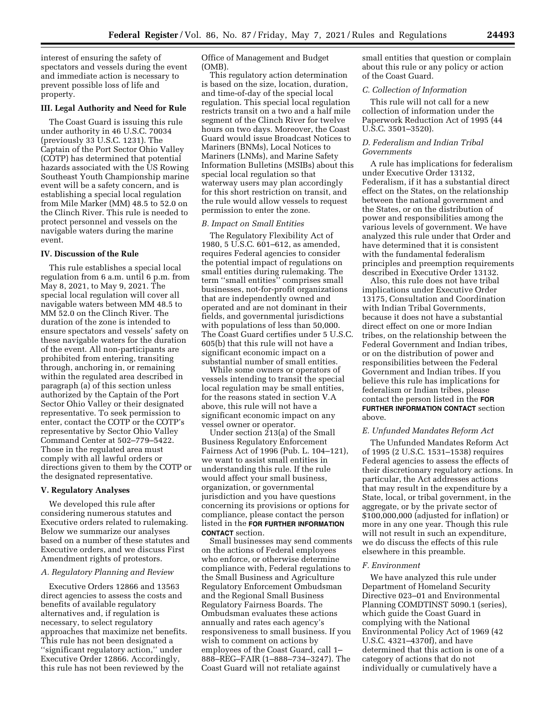interest of ensuring the safety of spectators and vessels during the event and immediate action is necessary to prevent possible loss of life and property.

# **III. Legal Authority and Need for Rule**

The Coast Guard is issuing this rule under authority in 46 U.S.C. 70034 (previously 33 U.S.C. 1231). The Captain of the Port Sector Ohio Valley (COTP) has determined that potential hazards associated with the US Rowing Southeast Youth Championship marine event will be a safety concern, and is establishing a special local regulation from Mile Marker (MM) 48.5 to 52.0 on the Clinch River. This rule is needed to protect personnel and vessels on the navigable waters during the marine event.

## **IV. Discussion of the Rule**

This rule establishes a special local regulation from 6 a.m. until 6 p.m. from May 8, 2021, to May 9, 2021. The special local regulation will cover all navigable waters between MM 48.5 to MM 52.0 on the Clinch River. The duration of the zone is intended to ensure spectators and vessels' safety on these navigable waters for the duration of the event. All non-participants are prohibited from entering, transiting through, anchoring in, or remaining within the regulated area described in paragraph (a) of this section unless authorized by the Captain of the Port Sector Ohio Valley or their designated representative. To seek permission to enter, contact the COTP or the COTP's representative by Sector Ohio Valley Command Center at 502–779–5422. Those in the regulated area must comply with all lawful orders or directions given to them by the COTP or the designated representative.

#### **V. Regulatory Analyses**

We developed this rule after considering numerous statutes and Executive orders related to rulemaking. Below we summarize our analyses based on a number of these statutes and Executive orders, and we discuss First Amendment rights of protestors.

## *A. Regulatory Planning and Review*

Executive Orders 12866 and 13563 direct agencies to assess the costs and benefits of available regulatory alternatives and, if regulation is necessary, to select regulatory approaches that maximize net benefits. This rule has not been designated a ''significant regulatory action,'' under Executive Order 12866. Accordingly, this rule has not been reviewed by the

Office of Management and Budget (OMB).

This regulatory action determination is based on the size, location, duration, and time-of-day of the special local regulation. This special local regulation restricts transit on a two and a half mile segment of the Clinch River for twelve hours on two days. Moreover, the Coast Guard would issue Broadcast Notices to Mariners (BNMs), Local Notices to Mariners (LNMs), and Marine Safety Information Bulletins (MSIBs) about this special local regulation so that waterway users may plan accordingly for this short restriction on transit, and the rule would allow vessels to request permission to enter the zone.

## *B. Impact on Small Entities*

The Regulatory Flexibility Act of 1980, 5 U.S.C. 601–612, as amended, requires Federal agencies to consider the potential impact of regulations on small entities during rulemaking. The term ''small entities'' comprises small businesses, not-for-profit organizations that are independently owned and operated and are not dominant in their fields, and governmental jurisdictions with populations of less than 50,000. The Coast Guard certifies under 5 U.S.C. 605(b) that this rule will not have a significant economic impact on a substantial number of small entities.

While some owners or operators of vessels intending to transit the special local regulation may be small entities, for the reasons stated in section V.A above, this rule will not have a significant economic impact on any vessel owner or operator.

Under section 213(a) of the Small Business Regulatory Enforcement Fairness Act of 1996 (Pub. L. 104–121), we want to assist small entities in understanding this rule. If the rule would affect your small business, organization, or governmental jurisdiction and you have questions concerning its provisions or options for compliance, please contact the person listed in the **FOR FURTHER INFORMATION CONTACT** section.

Small businesses may send comments on the actions of Federal employees who enforce, or otherwise determine compliance with, Federal regulations to the Small Business and Agriculture Regulatory Enforcement Ombudsman and the Regional Small Business Regulatory Fairness Boards. The Ombudsman evaluates these actions annually and rates each agency's responsiveness to small business. If you wish to comment on actions by employees of the Coast Guard, call 1– 888–REG–FAIR (1–888–734–3247). The Coast Guard will not retaliate against

small entities that question or complain about this rule or any policy or action of the Coast Guard.

## *C. Collection of Information*

This rule will not call for a new collection of information under the Paperwork Reduction Act of 1995 (44 U.S.C. 3501–3520).

## *D. Federalism and Indian Tribal Governments*

A rule has implications for federalism under Executive Order 13132, Federalism, if it has a substantial direct effect on the States, on the relationship between the national government and the States, or on the distribution of power and responsibilities among the various levels of government. We have analyzed this rule under that Order and have determined that it is consistent with the fundamental federalism principles and preemption requirements described in Executive Order 13132.

Also, this rule does not have tribal implications under Executive Order 13175, Consultation and Coordination with Indian Tribal Governments, because it does not have a substantial direct effect on one or more Indian tribes, on the relationship between the Federal Government and Indian tribes, or on the distribution of power and responsibilities between the Federal Government and Indian tribes. If you believe this rule has implications for federalism or Indian tribes, please contact the person listed in the **FOR FURTHER INFORMATION CONTACT** section above.

#### *E. Unfunded Mandates Reform Act*

The Unfunded Mandates Reform Act of 1995 (2 U.S.C. 1531–1538) requires Federal agencies to assess the effects of their discretionary regulatory actions. In particular, the Act addresses actions that may result in the expenditure by a State, local, or tribal government, in the aggregate, or by the private sector of \$100,000,000 (adjusted for inflation) or more in any one year. Though this rule will not result in such an expenditure, we do discuss the effects of this rule elsewhere in this preamble.

#### *F. Environment*

We have analyzed this rule under Department of Homeland Security Directive 023–01 and Environmental Planning COMDTINST 5090.1 (series), which guide the Coast Guard in complying with the National Environmental Policy Act of 1969 (42 U.S.C. 4321–4370f), and have determined that this action is one of a category of actions that do not individually or cumulatively have a